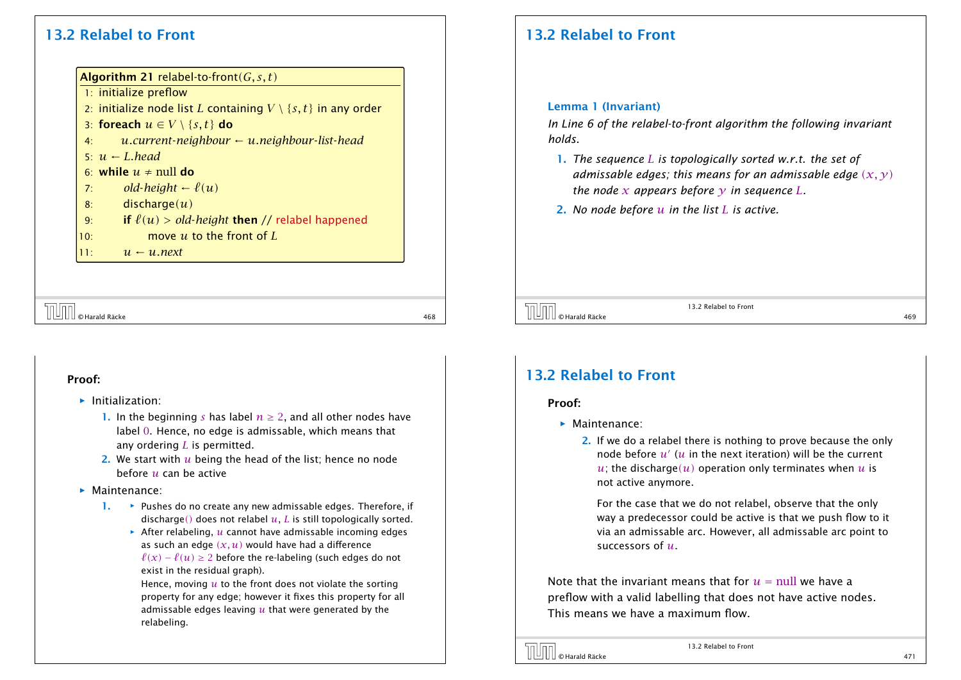## 13.2 Relabel to Front

| <b>Algorithm 21 relabel-to-front</b> $(G, s, t)$                         |
|--------------------------------------------------------------------------|
| 1: initialize preflow                                                    |
| 2: initialize node list L containing $V \setminus \{s, t\}$ in any order |
| 3: foreach $u \in V \setminus \{s, t\}$ do                               |
| $u$ .current-neighbour $\leftarrow u$ .neighbour-list-head<br>4:         |
| 5: $u \leftarrow L$ .head                                                |
| 6: while $u \neq \text{null}$ do                                         |
| old-height $\leftarrow \ell(u)$<br>7:                                    |
| discharge(u)<br>8:                                                       |
| if $\ell(u) > old$ -height then // relabel happened<br>9:                |
| move $u$ to the front of $L$<br>110:                                     |
| 11 <br>$u \leftarrow u$ . next                                           |
|                                                                          |

### Proof:

- $\blacktriangleright$  Initialization:
	- 1. In the beginning *s* has label  $n \geq 2$ , and all other nodes have label 0. Hence, no edge is admissable, which means that any ordering *L* is permitted.
	- 2. We start with *u* being the head of the list; hence no node before *u* can be active

#### **Maintenance:**

- 1. **►** Pushes do no create any new admissable edges. Therefore, if discharge*()* does not relabel *u*, *L* is still topologically sorted.
	- $\triangleright$  After relabeling,  $u$  cannot have admissable incoming edges as such an edge  $(x, u)$  would have had a difference  $\ell(x) - \ell(u) \geq 2$  before the re-labeling (such edges do not exist in the residual graph).

Hence, moving *u* to the front does not violate the sorting property for any edge; however it fixes this property for all admissable edges leaving *u* that were generated by the relabeling.

# 13.2 Relabel to Front

### Lemma 1 (Invariant)

*In Line 6 of the relabel-to-front algorithm the following invariant holds.*

- 1. *The sequence L is topologically sorted w.r.t. the set of admissable edges; this means for an admissable edge (x, y) the node x appears before*  $\nu$  *in sequence L.*
- 2. *No node before u in the list L is active.*

© Harald Räcke 469

13.2 Relabel to Front

## 13.2 Relabel to Front

#### Proof:

- *ñ* Maintenance:
	- 2. If we do a relabel there is nothing to prove because the only node before  $u'$  ( $u$  in the next iteration) will be the current  $u$ ; the discharge $(u)$  operation only terminates when  $u$  is not active anymore.

For the case that we do not relabel, observe that the only way a predecessor could be active is that we push flow to it via an admissable arc. However, all admissable arc point to successors of *u*.

Note that the invariant means that for  $u = \text{null}$  we have a preflow with a valid labelling that does not have active nodes. This means we have a maximum flow.